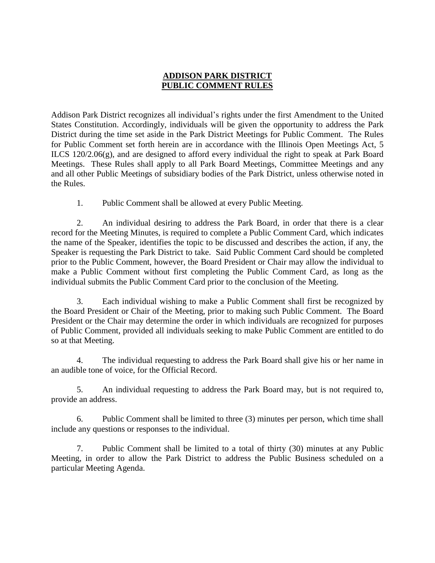## **ADDISON PARK DISTRICT PUBLIC COMMENT RULES**

Addison Park District recognizes all individual's rights under the first Amendment to the United States Constitution. Accordingly, individuals will be given the opportunity to address the Park District during the time set aside in the Park District Meetings for Public Comment. The Rules for Public Comment set forth herein are in accordance with the Illinois Open Meetings Act, 5 ILCS 120/2.06(g), and are designed to afford every individual the right to speak at Park Board Meetings. These Rules shall apply to all Park Board Meetings, Committee Meetings and any and all other Public Meetings of subsidiary bodies of the Park District, unless otherwise noted in the Rules.

1. Public Comment shall be allowed at every Public Meeting.

2. An individual desiring to address the Park Board, in order that there is a clear record for the Meeting Minutes, is required to complete a Public Comment Card, which indicates the name of the Speaker, identifies the topic to be discussed and describes the action, if any, the Speaker is requesting the Park District to take. Said Public Comment Card should be completed prior to the Public Comment, however, the Board President or Chair may allow the individual to make a Public Comment without first completing the Public Comment Card, as long as the individual submits the Public Comment Card prior to the conclusion of the Meeting.

3. Each individual wishing to make a Public Comment shall first be recognized by the Board President or Chair of the Meeting, prior to making such Public Comment. The Board President or the Chair may determine the order in which individuals are recognized for purposes of Public Comment, provided all individuals seeking to make Public Comment are entitled to do so at that Meeting.

 4. The individual requesting to address the Park Board shall give his or her name in an audible tone of voice, for the Official Record.

5. An individual requesting to address the Park Board may, but is not required to, provide an address.

6. Public Comment shall be limited to three (3) minutes per person, which time shall include any questions or responses to the individual.

7. Public Comment shall be limited to a total of thirty (30) minutes at any Public Meeting, in order to allow the Park District to address the Public Business scheduled on a particular Meeting Agenda.